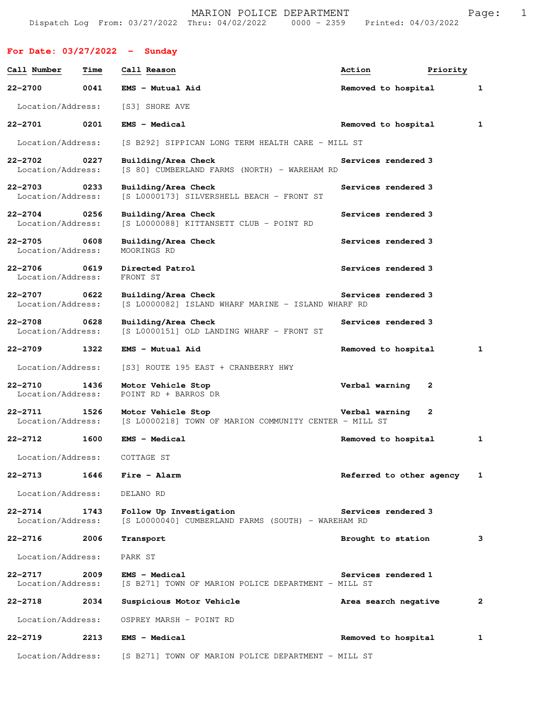| For Date: $03/27/2022 -$ Sunday          |             |                                                                               |                          |          |              |
|------------------------------------------|-------------|-------------------------------------------------------------------------------|--------------------------|----------|--------------|
| Call Number                              | <b>Time</b> | Call Reason                                                                   | Action                   | Priority |              |
| $22 - 2700$                              | 0041        | EMS - Mutual Aid                                                              | Removed to hospital      |          | 1            |
| Location/Address:                        |             | [S3] SHORE AVE                                                                |                          |          |              |
| 22-2701 0201                             |             | <b>EMS - Medical</b>                                                          | Removed to hospital      |          | $\mathbf{1}$ |
| Location/Address:                        |             | [S B292] SIPPICAN LONG TERM HEALTH CARE - MILL ST                             |                          |          |              |
| $22 - 2702$<br>Location/Address:         | 0227        | Building/Area Check<br>[S 80] CUMBERLAND FARMS (NORTH) - WAREHAM RD           | Services rendered 3      |          |              |
| 22-2703 0233<br>Location/Address:        |             | Building/Area Check<br>[S L0000173] SILVERSHELL BEACH - FRONT ST              | Services rendered 3      |          |              |
| $22 - 2704$ 0256<br>Location/Address:    |             | Building/Area Check<br>[S L0000088] KITTANSETT CLUB - POINT RD                | Services rendered 3      |          |              |
| $22 - 2705$<br>Location/Address:         | 0608        | Building/Area Check<br>MOORINGS RD                                            | Services rendered 3      |          |              |
| 22-2706 0619<br>Location/Address:        |             | Directed Patrol<br>FRONT ST                                                   | Services rendered 3      |          |              |
| $22 - 2707$<br>Location/Address:         | 0622        | Building/Area Check<br>[S L0000082] ISLAND WHARF MARINE - ISLAND WHARF RD     | Services rendered 3      |          |              |
| 22-2708 0628<br>Location/Address:        |             | Building/Area Check<br>[S L0000151] OLD LANDING WHARF - FRONT ST              | Services rendered 3      |          |              |
| 22-2709                                  | 1322        | EMS - Mutual Aid                                                              | Removed to hospital      |          | 1            |
| Location/Address:                        |             | [S3] ROUTE 195 EAST + CRANBERRY HWY                                           |                          |          |              |
| $22 - 2710$<br>Location/Address:         | 1436        | Motor Vehicle Stop<br>POINT RD + BARROS DR                                    | Verbal warning           | 2        |              |
| 1526<br>$22 - 2711$<br>Location/Address: |             | Motor Vehicle Stop<br>[S L0000218] TOWN OF MARION COMMUNITY CENTER - MILL ST  | Verbal warning           | 2        |              |
| $22 - 2712$                              | 1600        | <b>EMS - Medical</b>                                                          | Removed to hospital      |          | 1            |
| Location/Address:                        |             | COTTAGE ST                                                                    |                          |          |              |
| $22 - 2713$                              | 1646        | Fire - Alarm                                                                  | Referred to other agency |          | 1            |
| Location/Address:                        |             | DELANO RD                                                                     |                          |          |              |
| $22 - 2714$<br>Location/Address:         | 1743        | Follow Up Investigation<br>[S L0000040] CUMBERLAND FARMS (SOUTH) - WAREHAM RD | Services rendered 3      |          |              |
| $22 - 2716$                              | 2006        | Transport                                                                     | Brought to station       |          | 3            |
| Location/Address:                        |             | PARK ST                                                                       |                          |          |              |
| 22-2717<br>Location/Address:             | 2009        | <b>EMS - Medical</b><br>[S B271] TOWN OF MARION POLICE DEPARTMENT - MILL ST   | Services rendered 1      |          |              |
| 22-2718                                  | 2034        | Suspicious Motor Vehicle                                                      | Area search negative     |          | $\mathbf{2}$ |
| Location/Address:                        |             | OSPREY MARSH - POINT RD                                                       |                          |          |              |
| 22-2719                                  | 2213        | <b>EMS - Medical</b>                                                          | Removed to hospital      |          | 1            |
| Location/Address:                        |             | [S B271] TOWN OF MARION POLICE DEPARTMENT - MILL ST                           |                          |          |              |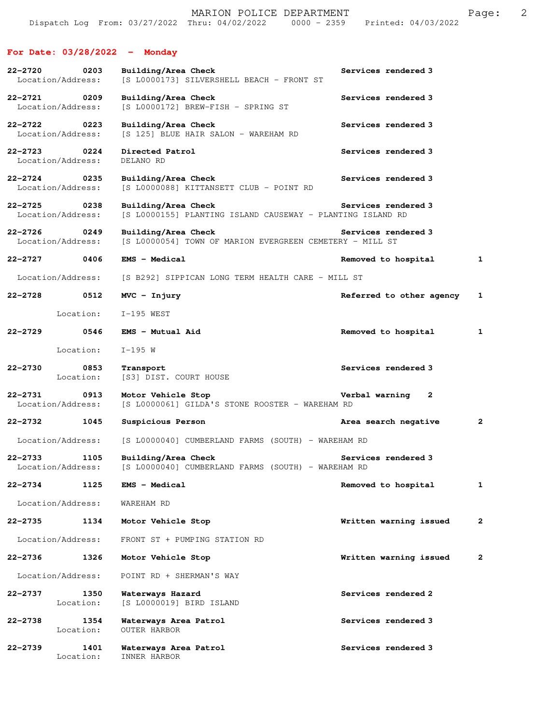## **For Date: 03/28/2022 - Monday**

| 22-2720     | 0203<br>Location/Address:         | Building/Area Check<br>[S L0000173] SILVERSHELL BEACH - FRONT ST                                       | Services rendered 3        |              |
|-------------|-----------------------------------|--------------------------------------------------------------------------------------------------------|----------------------------|--------------|
|             | 22-2721 0209<br>Location/Address: | Building/Area Check<br>[S L0000172] BREW-FISH - SPRING ST                                              | Services rendered 3        |              |
| 22–2722     | $\sim$ 0223<br>Location/Address:  | Building/Area Check<br>[S 125] BLUE HAIR SALON - WAREHAM RD                                            | Services rendered 3        |              |
| $22 - 2723$ | 0224<br>Location/Address:         | Directed Patrol<br>DELANO RD                                                                           | Services rendered 3        |              |
|             | 22-2724 0235<br>Location/Address: | Building/Area Check<br>[S L0000088] KITTANSETT CLUB - POINT RD                                         | Services rendered 3        |              |
| 22-2725     | 0238<br>Location/Address:         | Building/Area Check<br>[S L0000155] PLANTING ISLAND CAUSEWAY - PLANTING ISLAND RD                      | Services rendered 3        |              |
|             | 22-2726 0249<br>Location/Address: | Services rendered 3<br>Building/Area Check<br>[S L0000054] TOWN OF MARION EVERGREEN CEMETERY - MILL ST |                            |              |
|             | 22-2727 0406                      | <b>EMS - Medical</b>                                                                                   | Removed to hospital        | 1            |
|             |                                   | Location/Address: [S B292] SIPPICAN LONG TERM HEALTH CARE - MILL ST                                    |                            |              |
| 22-2728     | 0512                              | $MVC - Injury$                                                                                         | Referred to other agency 1 |              |
|             | Location:                         | I-195 WEST                                                                                             |                            |              |
| 22-2729     | 0546                              | EMS - Mutual Aid                                                                                       | Removed to hospital        | 1            |
|             | Location:                         | $I-195$ W                                                                                              |                            |              |
| 22-2730     | 0853<br>Location:                 | Transport<br>[S3] DIST. COURT HOUSE                                                                    | Services rendered 3        |              |
| 22-2731     | 0913<br>Location/Address:         | Motor Vehicle Stop<br>[S L0000061] GILDA'S STONE ROOSTER - WAREHAM RD                                  | Verbal warning<br>2        |              |
| $22 - 2732$ | 1045                              | Suspicious Person                                                                                      | Area search negative       | $\mathbf{2}$ |
|             | Location/Address:                 | [S L0000040] CUMBERLAND FARMS (SOUTH) - WAREHAM RD                                                     |                            |              |
| 22–2733     | 1105<br>Location/Address:         | Building/Area Check<br>[S L0000040] CUMBERLAND FARMS (SOUTH) - WAREHAM RD                              | Services rendered 3        |              |
| 22-2734     | 1125                              | EMS - Medical                                                                                          | Removed to hospital        | 1            |
|             | Location/Address:                 | WAREHAM RD                                                                                             |                            |              |
| 22-2735     | 1134                              | Motor Vehicle Stop                                                                                     | Written warning issued     | 2            |
|             | Location/Address:                 | FRONT ST + PUMPING STATION RD                                                                          |                            |              |
| 22-2736     | 1326                              | Motor Vehicle Stop                                                                                     | Written warning issued     | 2            |
|             | Location/Address:                 | POINT RD + SHERMAN'S WAY                                                                               |                            |              |
| 22-2737     | 1350<br>Location:                 | Waterways Hazard<br>[S L0000019] BIRD ISLAND                                                           | Services rendered 2        |              |
| 22-2738     | 1354<br>Location:                 | Waterways Area Patrol<br><b>OUTER HARBOR</b>                                                           | Services rendered 3        |              |
| 22-2739     | 1401<br>Location:                 | Waterways Area Patrol<br>INNER HARBOR                                                                  | Services rendered 3        |              |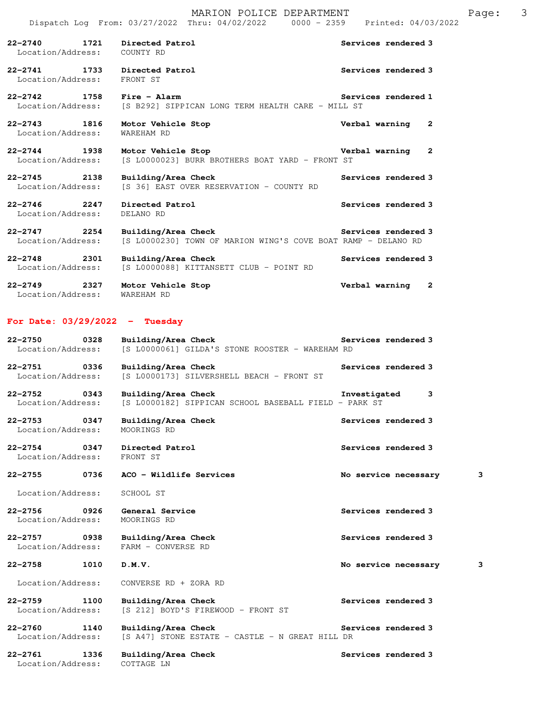|                                          | $0000 - 2359$<br>Dispatch Log From: 03/27/2022 Thru: 04/02/2022                      | Printed: 04/03/2022            |
|------------------------------------------|--------------------------------------------------------------------------------------|--------------------------------|
| $22 - 2740$<br>1721<br>Location/Address: | Directed Patrol<br>COUNTY RD                                                         | Services rendered 3            |
| 22-2741<br>1733<br>Location/Address:     | Directed Patrol<br>FRONT ST                                                          | Services rendered 3            |
| $22 - 2742$<br>1758<br>Location/Address: | $Fire - Alarm$<br>[S B292] SIPPICAN LONG TERM HEALTH CARE - MILL ST                  | Services rendered 1            |
| $22 - 2743$<br>1816<br>Location/Address: | Motor Vehicle Stop<br><b>WAREHAM RD</b>                                              | $\mathbf{z}$<br>Verbal warning |
| $22 - 2744$<br>1938<br>Location/Address: | Motor Vehicle Stop<br>[S L0000023] BURR BROTHERS BOAT YARD - FRONT ST                | $\mathbf{2}$<br>Verbal warning |
| $22 - 2745$<br>2138<br>Location/Address: | Building/Area Check<br>[S 36] EAST OVER RESERVATION - COUNTY RD                      | Services rendered 3            |
| $22 - 2746$<br>2247<br>Location/Address: | Directed Patrol<br>DELANO RD                                                         | Services rendered 3            |
| $22 - 2747$<br>2254<br>Location/Address: | Building/Area Check<br>[S L0000230] TOWN OF MARION WING'S COVE BOAT RAMP - DELANO RD | Services rendered 3            |
| $22 - 2748$<br>2301<br>Location/Address: | Building/Area Check<br>[S L0000088] KITTANSETT CLUB - POINT RD                       | Services rendered 3            |
| $22 - 2749$<br>2327<br>Location/Address: | Motor Vehicle Stop<br>WAREHAM RD                                                     | Verbal warning<br>2            |
| For Date: $03/29/2022 -$                 | Tuesday                                                                              |                                |
| $22 - 2750$<br>0328<br>Location/Address: | Building/Area Check<br>[S L0000061] GILDA'S STONE ROOSTER - WAREHAM RD               | Services rendered 3            |
| $22 - 2751$<br>0336<br>Location/Address: | Building/Area Check<br>[S L0000173] SILVERSHELL BEACH - FRONT ST                     | Services rendered 3            |
| $22 - 2752$<br>0343<br>Location/Address: | Building/Area Check<br>[S L0000182] SIPPICAN SCHOOL BASEBALL FIELD - PARK ST         | Investigated<br>3              |
| $22 - 2753$<br>0347<br>Location/Address: | Building/Area Check<br>MOORINGS RD                                                   | Services rendered 3            |
| $22 - 2754$<br>0347<br>Location/Address: | Directed Patrol<br>FRONT ST                                                          | Services rendered 3            |

**22-2755 0736 ACO - Wildlife Services No service necessary 3**

Location/Address: SCHOOL ST

**22-2756 0926 General Service Services rendered 3**  Location/Address: MOORINGS RD

**22-2757 0938 Building/Area Check Services rendered 3**  Location/Address: FARM - CONVERSE RD

**22-2758 1010 D.M.V. No service necessary 3**

Location/Address: CONVERSE RD + ZORA RD

**22-2759 1100 Building/Area Check Services rendered 3**  Location/Address: [S 212] BOYD'S FIREWOOD - FRONT ST

22-2760 1140 Building/Area Check **Services rendered 3** Location/Address: [S A47] STONE ESTATE - CASTLE - N GREAT HILL DR

**22-2761 1336 Building/Area Check Services rendered 3**  Location/Address: COTTAGE LN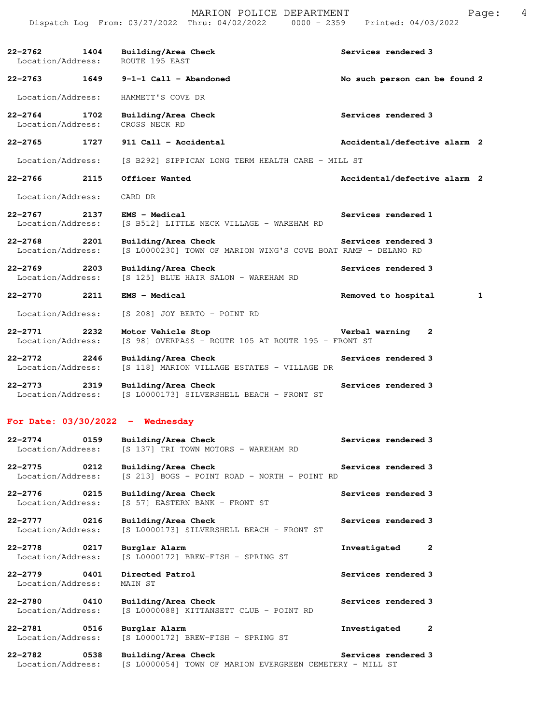| 22-2765 |                   | 1727 | 911 Call - Accidental                          |                          |               |                     | Accidental/defective alarm 2  |       |   |
|---------|-------------------|------|------------------------------------------------|--------------------------|---------------|---------------------|-------------------------------|-------|---|
| 22-2764 | Location/Address: | 1702 | Building/Area Check<br>CROSS NECK RD           |                          |               | Services rendered 3 |                               |       |   |
|         | Location/Address: |      | HAMMETT'S COVE DR                              |                          |               |                     |                               |       |   |
| 22-2763 |                   | 1649 | $9-1-1$ Call - Abandoned                       |                          |               |                     | No such person can be found 2 |       |   |
| 22-2762 | Location/Address: | 1404 | Building/Area Check<br>ROUTE 195 EAST          |                          |               | Services rendered 3 |                               |       |   |
|         |                   |      | Dispatch Log From: 03/27/2022 Thru: 04/02/2022 | MARION POLICE DEPARTMENT | $0000 - 2359$ |                     | Printed: 04/03/2022           | Page: | 4 |

Location/Address: [S B292] SIPPICAN LONG TERM HEALTH CARE - MILL ST

**22-2766 2115 Officer Wanted Accidental/defective alarm 2**

Location/Address: CARD DR

**22-2767 2137 EMS - Medical Services rendered 1**  Location/Address: [S B512] LITTLE NECK VILLAGE - WAREHAM RD

**22-2768 2201 Building/Area Check Services rendered 3**  Location/Address: [S L0000230] TOWN OF MARION WING'S COVE BOAT RAMP - DELANO RD

**22-2769 2203 Building/Area Check Services rendered 3**  Location/Address: [S 125] BLUE HAIR SALON - WAREHAM RD

**22-2770 2211 EMS - Medical Removed to hospital 1**

Location/Address: [S 208] JOY BERTO - POINT RD

**22-2771 2232 Motor Vehicle Stop Verbal warning 2**  Location/Address: [S 98] OVERPASS - ROUTE 105 AT ROUTE 195 - FRONT ST

**22-2772 2246 Building/Area Check Services rendered 3**  Location/Address: [S 118] MARION VILLAGE ESTATES - VILLAGE DR

**22-2773 2319 Building/Area Check Services rendered 3**  Location/Address: [S L0000173] SILVERSHELL BEACH - FRONT ST

## **For Date: 03/30/2022 - Wednesday**

| $22 - 2774$       | 0159 | Building/Area Check |  |                                      |  | <b>Services rendered 3</b> |
|-------------------|------|---------------------|--|--------------------------------------|--|----------------------------|
| Location/Address: |      |                     |  | [S 137] TRI TOWN MOTORS - WAREHAM RD |  |                            |

**22-2775 0212 Building/Area Check Services rendered 3**  Location/Address: [S 213] BOGS - POINT ROAD - NORTH - POINT RD

**22-2776 0215 Building/Area Check Services rendered 3**<br>
Location/Address: [S 57] EASTERN BANK - FRONT ST [S 57] EASTERN BANK - FRONT ST

**22-2777 0216 Building/Area Check Services rendered 3**  Location/Address: [S L0000173] SILVERSHELL BEACH - FRONT ST

**22-2778 0217 Burglar Alarm Investigated 2**  Location/Address: [S L0000172] BREW-FISH - SPRING ST

**22-2779 0401 Directed Patrol Services rendered 3**  Location/Address: MAIN ST

**22-2780 0410 Building/Area Check Services rendered 3**  Location/Address: [S L0000088] KITTANSETT CLUB - POINT RD

**22-2781 0516 Burglar Alarm Investigated 2**  Location/Address: [S L0000172] BREW-FISH - SPRING ST

**22-2782 0538 Building/Area Check Services rendered 3**  Location/Address: [S L0000054] TOWN OF MARION EVERGREEN CEMETERY - MILL ST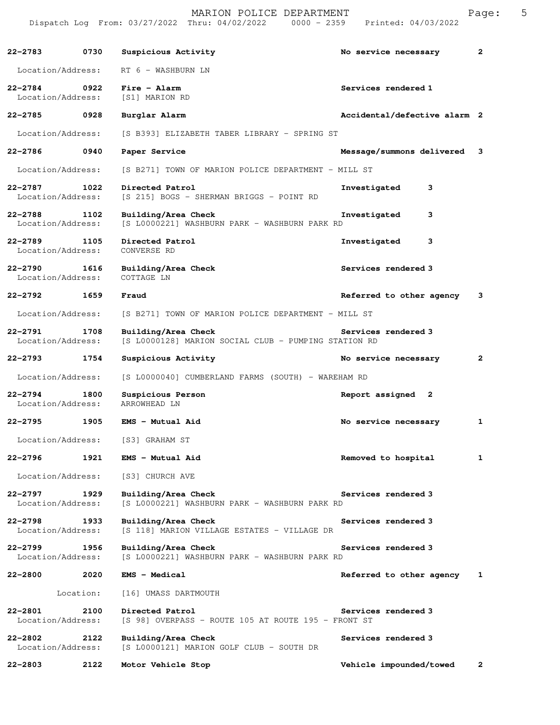|                                  |           | Dispatch Log From: 03/27/2022 Thru: 04/02/2022                              | 0000 - 2359 Printed: 04/03/2022 |              |
|----------------------------------|-----------|-----------------------------------------------------------------------------|---------------------------------|--------------|
| $22 - 2783$                      | 0730      | Suspicious Activity                                                         | No service necessary            | $\mathbf{2}$ |
| Location/Address:                |           | RT 6 - WASHBURN LN                                                          |                                 |              |
| $22 - 2784$<br>Location/Address: | 0922      | Fire - Alarm<br>[S1] MARION RD                                              | Services rendered 1             |              |
| $22 - 2785$                      | 0928      | Burglar Alarm                                                               | Accidental/defective alarm 2    |              |
| Location/Address:                |           | [S B393] ELIZABETH TABER LIBRARY - SPRING ST                                |                                 |              |
| 22-2786 0940                     |           | Paper Service                                                               | Message/summons delivered 3     |              |
| Location/Address:                |           | [S B271] TOWN OF MARION POLICE DEPARTMENT - MILL ST                         |                                 |              |
| $22 - 2787$<br>Location/Address: | 1022      | Directed Patrol<br>[S 215] BOGS - SHERMAN BRIGGS - POINT RD                 | 3<br>Investigated               |              |
| $22 - 2788$<br>Location/Address: | 1102      | Building/Area Check<br>[S L0000221] WASHBURN PARK - WASHBURN PARK RD        | 3<br>Investigated               |              |
| $22 - 2789$<br>Location/Address: | 1105      | Directed Patrol<br>CONVERSE RD                                              | Investigated<br>3               |              |
| $22 - 2790$<br>Location/Address: | 1616      | Building/Area Check<br>COTTAGE LN                                           | Services rendered 3             |              |
| 22-2792                          | 1659      | Fraud                                                                       | Referred to other agency        | 3            |
| Location/Address:                |           | [S B271] TOWN OF MARION POLICE DEPARTMENT - MILL ST                         |                                 |              |
| 22-2791<br>Location/Address:     | 1708      | Building/Area Check<br>[S L0000128] MARION SOCIAL CLUB - PUMPING STATION RD | Services rendered 3             |              |
| 22–2793                          | 1754      | Suspicious Activity                                                         | No service necessary            | $\mathbf{2}$ |
| Location/Address:                |           | [S L0000040] CUMBERLAND FARMS (SOUTH) - WAREHAM RD                          |                                 |              |
| $22 - 2794$<br>Location/Address: | 1800      | Suspicious Person<br>ARROWHEAD LN                                           | Report assigned<br>2            |              |
| $22 - 2795$                      | 1905      | EMS - Mutual Aid                                                            | No service necessary            | $\mathbf{1}$ |
| Location/Address:                |           | [S3] GRAHAM ST                                                              |                                 |              |
| 22-2796 1921                     |           | EMS - Mutual Aid                                                            | Removed to hospital             | $\mathbf{1}$ |
| Location/Address:                |           | [S3] CHURCH AVE                                                             |                                 |              |
| $22 - 2797$<br>Location/Address: | 1929      | Building/Area Check<br>[S L0000221] WASHBURN PARK - WASHBURN PARK RD        | Services rendered 3             |              |
| $22 - 2798$<br>Location/Address: | 1933      | Building/Area Check<br>[S 118] MARION VILLAGE ESTATES - VILLAGE DR          | Services rendered 3             |              |
| $22 - 2799$<br>Location/Address: | 1956      | Building/Area Check<br>[S L0000221] WASHBURN PARK - WASHBURN PARK RD        | Services rendered 3             |              |
| 22-2800                          | 2020      | EMS - Medical                                                               | Referred to other agency 1      |              |
|                                  | Location: | [16] UMASS DARTMOUTH                                                        |                                 |              |
| 22-2801<br>Location/Address:     | 2100      | Directed Patrol<br>[S 98] OVERPASS - ROUTE 105 AT ROUTE 195 - FRONT ST      | Services rendered 3             |              |
| $22 - 2802$<br>Location/Address: | 2122      | Building/Area Check<br>[S L0000121] MARION GOLF CLUB - SOUTH DR             | Services rendered 3             |              |
| 22-2803                          | 2122      | Motor Vehicle Stop                                                          | Vehicle impounded/towed         | $\mathbf{2}$ |

MARION POLICE DEPARTMENT FRAGE: 5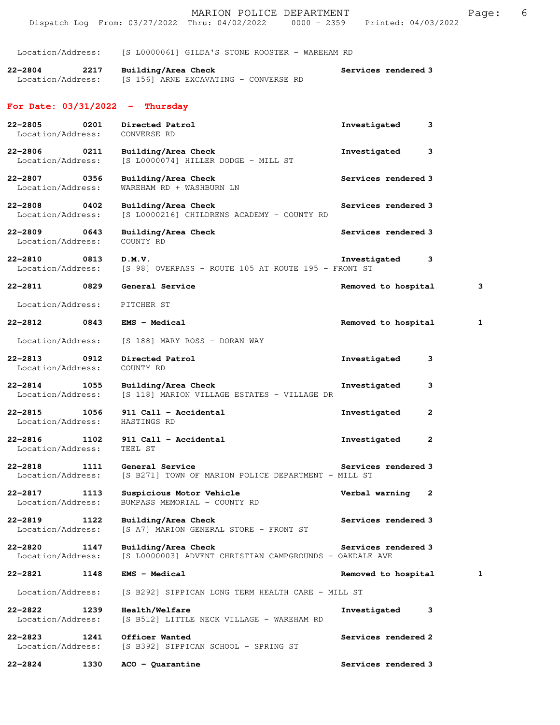|                                   |      | MARION POLICE DEPARTMENT<br>Dispatch Log From: 03/27/2022 Thru: 04/02/2022 0000 - 2359 | Printed: 04/03/2022            | Page: | 6 |
|-----------------------------------|------|----------------------------------------------------------------------------------------|--------------------------------|-------|---|
| Location/Address:                 |      | [S L0000061] GILDA'S STONE ROOSTER - WAREHAM RD                                        |                                |       |   |
| $22 - 2804$<br>Location/Address:  | 2217 | Building/Area Check<br>[S 156] ARNE EXCAVATING - CONVERSE RD                           | Services rendered 3            |       |   |
| For Date: $03/31/2022 - Thursday$ |      |                                                                                        |                                |       |   |
| $22 - 2805$<br>Location/Address:  | 0201 | Directed Patrol<br>CONVERSE RD                                                         | Investigated<br>3              |       |   |
| $22 - 2806$<br>Location/Address:  | 0211 | Building/Area Check<br>[S L0000074] HILLER DODGE - MILL ST                             | 3<br>Investigated              |       |   |
| 22-2807<br>Location/Address:      | 0356 | Building/Area Check<br>WAREHAM RD + WASHBURN LN                                        | Services rendered 3            |       |   |
| $22 - 2808$<br>Location/Address:  | 0402 | Building/Area Check<br>[S L0000216] CHILDRENS ACADEMY - COUNTY RD                      | Services rendered 3            |       |   |
| $22 - 2809$<br>Location/Address:  | 0643 | Building/Area Check<br>COUNTY RD                                                       | Services rendered 3            |       |   |
| $22 - 2810$<br>Location/Address:  | 0813 | D.M.V.<br>[S 98] OVERPASS - ROUTE 105 AT ROUTE 195 - FRONT ST                          | Investigated<br>3              |       |   |
| $22 - 2811$                       | 0829 | General Service                                                                        | Removed to hospital            | 3     |   |
| Location/Address:                 |      | PITCHER ST                                                                             |                                |       |   |
| 22-2812                           | 0843 | EMS - Medical                                                                          | Removed to hospital            | 1     |   |
| Location/Address:                 |      | [S 188] MARY ROSS - DORAN WAY                                                          |                                |       |   |
| $22 - 2813$<br>Location/Address:  | 0912 | Directed Patrol<br>COUNTY RD                                                           | Investigated<br>3              |       |   |
| $22 - 2814$<br>Location/Address:  | 1055 | Building/Area Check<br>[S 118] MARION VILLAGE ESTATES - VILLAGE DR                     | Investigated<br>3              |       |   |
| $22 - 2815$<br>Location/Address:  | 1056 | 911 Call - Accidental<br>HASTINGS RD                                                   | 2<br>Investigated              |       |   |
| $22 - 2816$<br>Location/Address:  | 1102 | 911 Call - Accidental<br>TEEL ST                                                       | Investigated<br>2              |       |   |
| 22-2818<br>Location/Address:      | 1111 | General Service<br>[S B271] TOWN OF MARION POLICE DEPARTMENT - MILL ST                 | Services rendered 3            |       |   |
| $22 - 2817$<br>Location/Address:  | 1113 | Suspicious Motor Vehicle<br>BUMPASS MEMORIAL - COUNTY RD                               | Verbal warning<br>$\mathbf{2}$ |       |   |
| $22 - 2819$<br>Location/Address:  | 1122 | Building/Area Check<br>[S A7] MARION GENERAL STORE - FRONT ST                          | Services rendered 3            |       |   |
| $22 - 2820$<br>Location/Address:  | 1147 | Building/Area Check<br>[S L0000003] ADVENT CHRISTIAN CAMPGROUNDS - OAKDALE AVE         | Services rendered 3            |       |   |
| 22-2821                           | 1148 | EMS - Medical                                                                          | Removed to hospital            | 1     |   |
| Location/Address:                 |      | [S B292] SIPPICAN LONG TERM HEALTH CARE - MILL ST                                      |                                |       |   |
| $22 - 2822$<br>Location/Address:  | 1239 | Health/Welfare<br>[S B512] LITTLE NECK VILLAGE - WAREHAM RD                            | Investigated<br>3              |       |   |
| 22-2823<br>Location/Address:      | 1241 | Officer Wanted<br>[S B392] SIPPICAN SCHOOL - SPRING ST                                 | Services rendered 2            |       |   |
| 22-2824                           | 1330 | $ACO - Quarantine$                                                                     | Services rendered 3            |       |   |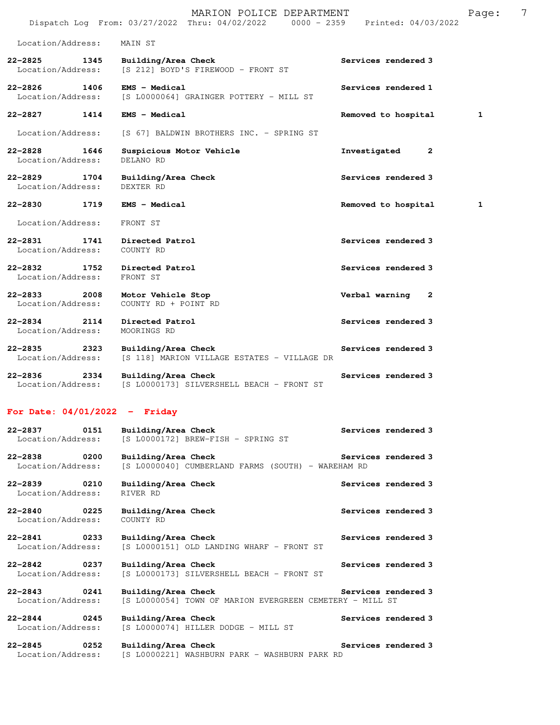|                                  |      | MARION POLICE DEPARTMENT<br>Dispatch Log From: 03/27/2022 Thru: 04/02/2022 0000 - 2359 | Printed: 04/03/2022 | Page: | 7 |
|----------------------------------|------|----------------------------------------------------------------------------------------|---------------------|-------|---|
| Location/Address:                |      | MAIN ST                                                                                |                     |       |   |
| $22 - 2825$<br>Location/Address: | 1345 | Building/Area Check<br>[S 212] BOYD'S FIREWOOD - FRONT ST                              | Services rendered 3 |       |   |
| $22 - 2826$<br>Location/Address: | 1406 | $EMS - Medical$<br>[S L0000064] GRAINGER POTTERY - MILL ST                             | Services rendered 1 |       |   |
| $22 - 2827$                      | 1414 | EMS - Medical                                                                          | Removed to hospital | 1     |   |
| Location/Address:                |      | [S 67] BALDWIN BROTHERS INC. - SPRING ST                                               |                     |       |   |
| $22 - 2828$<br>Location/Address: | 1646 | Suspicious Motor Vehicle<br>DELANO RD                                                  | Investigated<br>2   |       |   |
| $22 - 2829$<br>Location/Address: | 1704 | Building/Area Check<br>DEXTER RD                                                       | Services rendered 3 |       |   |
| $22 - 2830$                      | 1719 | <b>EMS - Medical</b>                                                                   | Removed to hospital | 1     |   |
| Location/Address:                |      | FRONT ST                                                                               |                     |       |   |
| $22 - 2831$<br>Location/Address: | 1741 | Directed Patrol<br>COUNTY RD                                                           | Services rendered 3 |       |   |
| $22 - 2832$<br>Location/Address: | 1752 | Directed Patrol<br>FRONT ST                                                            | Services rendered 3 |       |   |
| 22-2833<br>Location/Address:     | 2008 | Motor Vehicle Stop<br>COUNTY RD + POINT RD                                             | Verbal warning<br>2 |       |   |
| $22 - 2834$<br>Location/Address: | 2114 | Directed Patrol<br>MOORINGS RD                                                         | Services rendered 3 |       |   |
| $22 - 2835$<br>Location/Address: | 2323 | Building/Area Check<br>[S 118] MARION VILLAGE ESTATES - VILLAGE DR                     | Services rendered 3 |       |   |
| $22 - 2836$<br>Location/Address: | 2334 | Building/Area Check<br>[S L0000173] SILVERSHELL BEACH - FRONT ST                       | Services rendered 3 |       |   |
| For Date: $04/01/2022 -$ Friday  |      |                                                                                        |                     |       |   |

| 0151<br>22-2837<br>Location/Address:     | Building/Area Check<br>[S L0000172] BREW-FISH - SPRING ST                       | Services rendered 3 |
|------------------------------------------|---------------------------------------------------------------------------------|---------------------|
| 22-2838 0200<br>Location/Address:        | Building/Area Check<br>[S L0000040] CUMBERLAND FARMS (SOUTH) - WAREHAM RD       | Services rendered 3 |
| 22-2839 0210<br>Location/Address:        | Building/Area Check<br>RIVER RD                                                 | Services rendered 3 |
| $22 - 2840$ 0225<br>Location/Address:    | Building/Area Check<br>COUNTY RD                                                | Services rendered 3 |
| $22 - 2841$ 0233<br>Location/Address:    | Building/Area Check<br>[S L0000151] OLD LANDING WHARF - FRONT ST                | Services rendered 3 |
| $22 - 2842$ 0237<br>Location/Address:    | Building/Area Check<br>[S L0000173] SILVERSHELL BEACH - FRONT ST                | Services rendered 3 |
| $22 - 2843$<br>0241<br>Location/Address: | Building/Area Check<br>[S L0000054] TOWN OF MARION EVERGREEN CEMETERY - MILL ST | Services rendered 3 |
| $22 - 2844$ 0245<br>Location/Address:    | Building/Area Check<br>[S L0000074] HILLER DODGE - MILL ST                      | Services rendered 3 |

**22-2845 0252 Building/Area Check Services rendered 3**  Location/Address: [S L0000221] WASHBURN PARK - WASHBURN PARK RD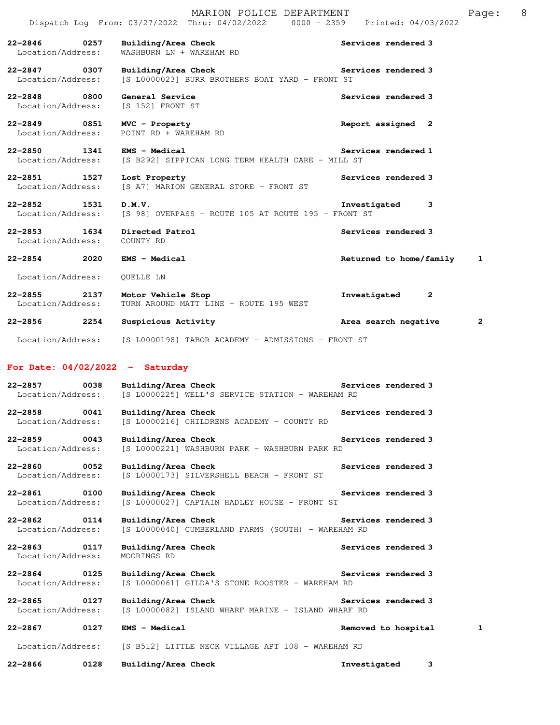|                   |      | MARION POLICE DEPARTMENT                                                                                                        |                         | Page: | 8 |
|-------------------|------|---------------------------------------------------------------------------------------------------------------------------------|-------------------------|-------|---|
|                   |      | Dispatch Log From: 03/27/2022 Thru: 04/02/2022 0000 - 2359 Printed: 04/03/2022                                                  |                         |       |   |
| Location/Address: |      | 22-2846 0257 Building/Area Check<br>WASHBURN LN + WAREHAM RD                                                                    | Services rendered 3     |       |   |
|                   |      | 22-2847 		 0307 Building/Area Check 		 Services rendered 3<br>Location/Address: [S L0000023] BURR BROTHERS BOAT YARD - FRONT ST |                         |       |   |
|                   |      | 22-2848 0800 General Service<br>Location/Address: [S 152] FRONT ST                                                              | Services rendered 3     |       |   |
|                   |      | 22-2849 0851 MVC - Property<br>Location/Address: POINT RD + WAREHAM RD                                                          | Report assigned 2       |       |   |
|                   |      | 22-2850 1341 EMS - Medical<br>Location/Address: [S B292] SIPPICAN LONG TERM HEALTH CARE - MILL ST                               | Services rendered 1     |       |   |
| 22-2851 1527      |      | Lost Property<br>Location/Address: [S A7] MARION GENERAL STORE - FRONT ST                                                       | Services rendered 3     |       |   |
| 22-2852 1531      |      | D.M.V.<br>Location/Address: [S 98] OVERPASS - ROUTE 105 AT ROUTE 195 - FRONT ST                                                 | Investigated<br>-3      |       |   |
| Location/Address: |      | 22-2853 1634 Directed Patrol<br>COUNTY RD                                                                                       | Services rendered 3     |       |   |
| $22 - 2854$       | 2020 | <b>EMS - Medical</b>                                                                                                            | Returned to home/family | 1     |   |

Location/Address: QUELLE LN

**22-2855 2137 Motor Vehicle Stop Investigated 2**  Location/Address: TURN AROUND MATT LINE - ROUTE 195 WEST

**22-2856 2254 Suspicious Activity Area search negative 2**

Location/Address: [S L0000198] TABOR ACADEMY - ADMISSIONS - FRONT ST

## **For Date: 04/02/2022 - Saturday**

**22-2857 0038 Building/Area Check Services rendered 3**  Location/Address: [S L0000225] WELL'S SERVICE STATION - WAREHAM RD **22-2858 0041 Building/Area Check Services rendered 3**  Location/Address: [S L0000216] CHILDRENS ACADEMY - COUNTY RD **22-2859 0043 Building/Area Check Services rendered 3**  Location/Address: [S L0000221] WASHBURN PARK - WASHBURN PARK RD **22-2860 0052 Building/Area Check Services rendered 3**  Location/Address: [S L0000173] SILVERSHELL BEACH - FRONT ST **22-2861 0100 Building/Area Check Services rendered 3**  Location/Address: [S L0000027] CAPTAIN HADLEY HOUSE - FRONT ST **22-2862 0114 Building/Area Check Services rendered 3**  Location/Address: [S L0000040] CUMBERLAND FARMS (SOUTH) - WAREHAM RD

**22-2863 0117 Building/Area Check Services rendered 3**  Location/Address: MOORINGS RD

**22-2864 0125 Building/Area Check Services rendered 3**  [S L0000061] GILDA'S STONE ROOSTER - WAREHAM RD

**22-2865 0127 Building/Area Check Services rendered 3**  Location/Address: [S L0000082] ISLAND WHARF MARINE - ISLAND WHARF RD

## **22-2867 0127 EMS - Medical Removed to hospital 1**

Location/Address: [S B512] LITTLE NECK VILLAGE APT 108 - WAREHAM RD

**22-2866 0128 Building/Area Check Investigated 3**